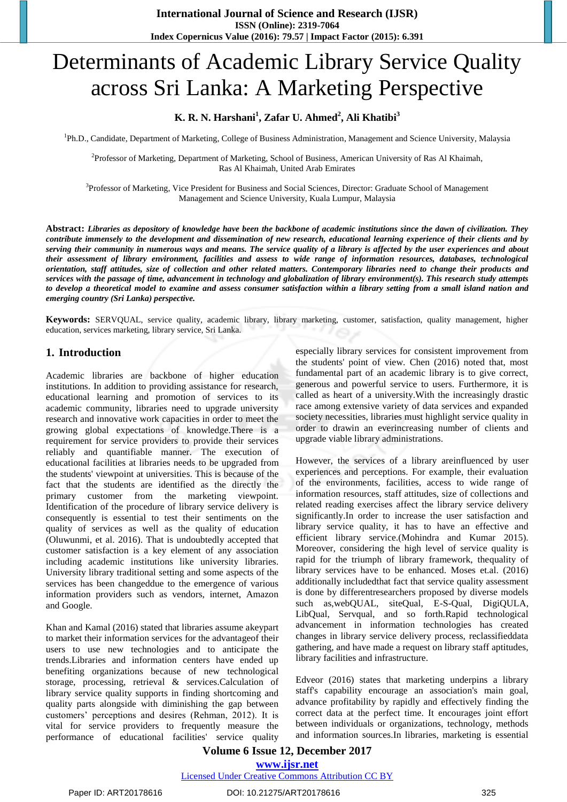# Determinants of Academic Library Service Quality across Sri Lanka: A Marketing Perspective

## **K. R. N. Harshani<sup>1</sup> , Zafar U. Ahmed<sup>2</sup> , Ali Khatibi<sup>3</sup>**

<sup>1</sup>Ph.D., Candidate, Department of Marketing, College of Business Administration, Management and Science University, Malaysia

2 Professor of Marketing, Department of Marketing, School of Business, American University of Ras Al Khaimah, Ras Al Khaimah, United Arab Emirates

<sup>3</sup>Professor of Marketing, Vice President for Business and Social Sciences, Director: Graduate School of Management Management and Science University, Kuala Lumpur, Malaysia

**Abstract:** *Libraries as depository of knowledge have been the backbone of academic institutions since the dawn of civilization. They contribute immensely to the development and dissemination of new research, educational learning experience of their clients and by serving their community in numerous ways and means. The service quality of a library is affected by the user experiences and about their assessment of library environment, facilities and assess to wide range of information resources, databases, technological orientation, staff attitudes, size of collection and other related matters. Contemporary libraries need to change their products and services with the passage of time, advancement in technology and globalization of library environment(s). This research study attempts to develop a theoretical model to examine and assess consumer satisfaction within a library setting from a small island nation and emerging country (Sri Lanka) perspective.*

**Keywords:** SERVQUAL, service quality, academic library, library marketing, customer, satisfaction, quality management, higher education, services marketing, library service, Sri Lanka.

## **1. Introduction**

Academic libraries are backbone of higher education institutions. In addition to providing assistance for research, educational learning and promotion of services to its academic community, libraries need to upgrade university research and innovative work capacities in order to meet the growing global expectations of knowledge.There is a requirement for service providers to provide their services reliably and quantifiable manner. The execution of educational facilities at libraries needs to be upgraded from the students' viewpoint at universities. This is because of the fact that the students are identified as the directly the primary customer from the marketing viewpoint. Identification of the procedure of library service delivery is consequently is essential to test their sentiments on the quality of services as well as the quality of education (Oluwunmi, et al. 2016). That is undoubtedly accepted that customer satisfaction is a key element of any association including academic institutions like university libraries. University library traditional setting and some aspects of the services has been changeddue to the emergence of various information providers such as vendors, internet, Amazon and Google.

Khan and Kamal (2016) stated that libraries assume akeypart to market their information services for the advantageof their users to use new technologies and to anticipate the trends.Libraries and information centers have ended up benefiting organizations because of new technological storage, processing, retrieval & services.Calculation of library service quality supports in finding shortcoming and quality parts alongside with diminishing the gap between customers' perceptions and desires (Rehman, 2012). It is vital for service providers to frequently measure the performance of educational facilities' service quality especially library services for consistent improvement from the students' point of view. Chen (2016) noted that, most fundamental part of an academic library is to give correct, generous and powerful service to users. Furthermore, it is called as heart of a university.With the increasingly drastic race among extensive variety of data services and expanded society necessities, libraries must highlight service quality in order to drawin an everincreasing number of clients and upgrade viable library administrations.

However, the services of a library areinfluenced by user experiences and perceptions. For example, their evaluation of the environments, facilities, access to wide range of information resources, staff attitudes, size of collections and related reading exercises affect the library service delivery significantly.In order to increase the user satisfaction and library service quality, it has to have an effective and efficient library service.(Mohindra and Kumar 2015). Moreover, considering the high level of service quality is rapid for the triumph of library framework, thequality of library services have to be enhanced. Moses et.al. (2016) additionally includedthat fact that service quality assessment is done by differentresearchers proposed by diverse models such as,webQUAL, siteQual, E-S-Qual, DigiQULA, LibQual, Servqual, and so forth.Rapid technological advancement in information technologies has created changes in library service delivery process, reclassifieddata gathering, and have made a request on library staff aptitudes, library facilities and infrastructure.

Edveor (2016) states that marketing underpins a library staff's capability encourage an association's main goal, advance profitability by rapidly and effectively finding the correct data at the perfect time. It encourages joint effort between individuals or organizations, technology, methods and information sources.In libraries, marketing is essential

## **Volume 6 Issue 12, December 2017 <www.ijsr.net>**

[Licensed Under Creative Commons Attribution CC BY](http://creativecommons.org/licenses/by/4.0/)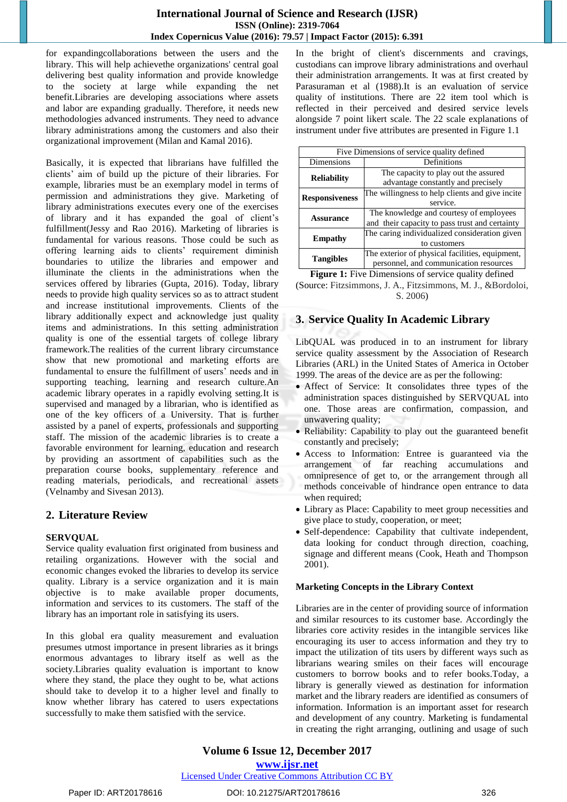### **International Journal of Science and Research (IJSR) ISSN (Online): 2319-7064 Index Copernicus Value (2016): 79.57 | Impact Factor (2015): 6.391**

for expandingcollaborations between the users and the library. This will help achievethe organizations' central goal delivering best quality information and provide knowledge to the society at large while expanding the net benefit.Libraries are developing associations where assets and labor are expanding gradually. Therefore, it needs new methodologies advanced instruments. They need to advance library administrations among the customers and also their organizational improvement (Milan and Kamal 2016).

Basically, it is expected that librarians have fulfilled the clients' aim of build up the picture of their libraries. For example, libraries must be an exemplary model in terms of permission and administrations they give. Marketing of library administrations executes every one of the exercises of library and it has expanded the goal of client's fulfillment(Jessy and Rao 2016). Marketing of libraries is fundamental for various reasons. Those could be such as offering learning aids to clients' requirement diminish boundaries to utilize the libraries and empower and illuminate the clients in the administrations when the services offered by libraries (Gupta, 2016). Today, library needs to provide high quality services so as to attract student and increase institutional improvements. Clients of the library additionally expect and acknowledge just quality items and administrations. In this setting administration quality is one of the essential targets of college library framework.The realities of the current library circumstance show that new promotional and marketing efforts are fundamental to ensure the fulfillment of users' needs and in supporting teaching, learning and research culture.An academic library operates in a rapidly evolving setting.It is supervised and managed by a librarian, who is identified as one of the key officers of a University. That is further assisted by a panel of experts, professionals and supporting staff. The mission of the academic libraries is to create a favorable environment for learning, education and research by providing an assortment of capabilities such as the preparation course books, supplementary reference and reading materials, periodicals, and recreational assets (Velnamby and Sivesan 2013).

# **2. Literature Review**

## **SERVQUAL**

Service quality evaluation first originated from business and retailing organizations. However with the social and economic changes evoked the libraries to develop its service quality. Library is a service organization and it is main objective is to make available proper documents, information and services to its customers. The staff of the library has an important role in satisfying its users.

In this global era quality measurement and evaluation presumes utmost importance in present libraries as it brings enormous advantages to library itself as well as the society.Libraries quality evaluation is important to know where they stand, the place they ought to be, what actions should take to develop it to a higher level and finally to know whether library has catered to users expectations successfully to make them satisfied with the service.

In the bright of client's discernments and cravings, custodians can improve library administrations and overhaul their administration arrangements. It was at first created by Parasuraman et al (1988).It is an evaluation of service quality of institutions. There are 22 item tool which is reflected in their perceived and desired service levels alongside 7 point likert scale. The 22 scale explanations of instrument under five attributes are presented in Figure 1.1

| Five Dimensions of service quality defined      |  |
|-------------------------------------------------|--|
| Definitions                                     |  |
| The capacity to play out the assured            |  |
| advantage constantly and precisely              |  |
| The willingness to help clients and give incite |  |
| service.                                        |  |
| The knowledge and courtesy of employees         |  |
| and their capacity to pass trust and certainty  |  |
| The caring individualized consideration given   |  |
| to customers                                    |  |
| The exterior of physical facilities, equipment, |  |
| personnel, and communication resources          |  |
|                                                 |  |

**Figure 1:** Five Dimensions of service quality defined (Source: Fitzsimmons, J. A., Fitzsimmons, M. J., &Bordoloi, S. 2006)

# **3. Service Quality In Academic Library**

LibQUAL was produced in to an instrument for library service quality assessment by the Association of Research Libraries (ARL) in the United States of America in October 1999. The areas of the device are as per the following:

- Affect of Service: It consolidates three types of the administration spaces distinguished by SERVQUAL into one. Those areas are confirmation, compassion, and unwavering quality;
- Reliability: Capability to play out the guaranteed benefit constantly and precisely;
- Access to Information: Entree is guaranteed via the arrangement of far reaching accumulations and omnipresence of get to, or the arrangement through all methods conceivable of hindrance open entrance to data when required;
- Library as Place: Capability to meet group necessities and give place to study, cooperation, or meet;
- Self-dependence: Capability that cultivate independent, data looking for conduct through direction, coaching, signage and different means (Cook, Heath and Thompson 2001).

## **Marketing Concepts in the Library Context**

Libraries are in the center of providing source of information and similar resources to its customer base. Accordingly the libraries core activity resides in the intangible services like encouraging its user to access information and they try to impact the utilization of tits users by different ways such as librarians wearing smiles on their faces will encourage customers to borrow books and to refer books.Today, a library is generally viewed as destination for information market and the library readers are identified as consumers of information. Information is an important asset for research and development of any country. Marketing is fundamental in creating the right arranging, outlining and usage of such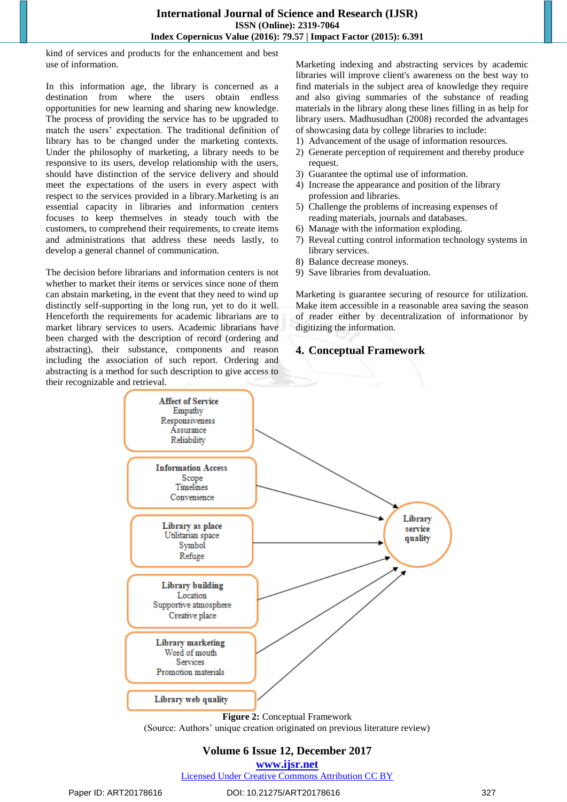kind of services and products for the enhancement and best use of information.

In this information age, the library is concerned as a destination from where the users obtain endless opportunities for new learning and sharing new knowledge. The process of providing the service has to be upgraded to match the users' expectation. The traditional definition of library has to be changed under the marketing contexts. Under the philosophy of marketing, a library needs to be responsive to its users, develop relationship with the users, should have distinction of the service delivery and should meet the expectations of the users in every aspect with respect to the services provided in a library.Marketing is an essential capacity in libraries and information centers focuses to keep themselves in steady touch with the customers, to comprehend their requirements, to create items and administrations that address these needs lastly, to develop a general channel of communication.

The decision before librarians and information centers is not whether to market their items or services since none of them can abstain marketing, in the event that they need to wind up distinctly self-supporting in the long run, yet to do it well. Henceforth the requirements for academic librarians are to market library services to users. Academic librarians have been charged with the description of record (ordering and abstracting), their substance, components and reason including the association of such report. Ordering and abstracting is a method for such description to give access to their recognizable and retrieval.

Marketing indexing and abstracting services by academic libraries will improve client's awareness on the best way to find materials in the subject area of knowledge they require and also giving summaries of the substance of reading materials in the library along these lines filling in as help for library users. Madhusudhan (2008) recorded the advantages of showcasing data by college libraries to include:

- 1) Advancement of the usage of information resources.
- 2) Generate perception of requirement and thereby produce request.
- 3) Guarantee the optimal use of information.
- 4) Increase the appearance and position of the library profession and libraries.
- 5) Challenge the problems of increasing expenses of reading materials, journals and databases.
- 6) Manage with the information exploding.
- 7) Reveal cutting control information technology systems in library services.
- 8) Balance decrease moneys.
- 9) Save libraries from devaluation.

Marketing is guarantee securing of resource for utilization. Make item accessible in a reasonable area saving the season of reader either by decentralization of informationor by digitizing the information.

#### **4. Conceptual Framework**



(Source: Authors' unique creation originated on previous literature review)

## **Volume 6 Issue 12, December 2017**

**<www.ijsr.net>**

[Licensed Under Creative Commons Attribution CC BY](http://creativecommons.org/licenses/by/4.0/)

#### Paper ID: ART20178616 DOI: 10.21275/ART20178616 327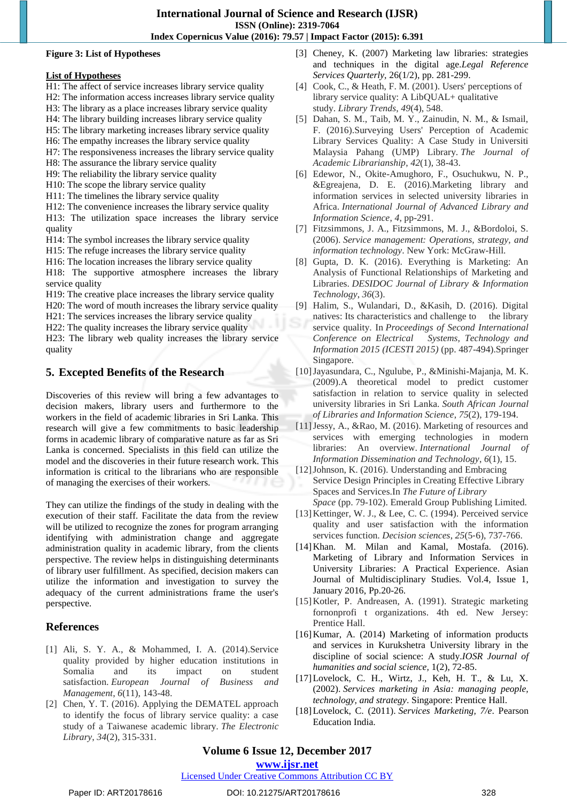#### **Figure 3: List of Hypotheses**

#### **List of Hypotheses**

- H1: The affect of service increases library service quality
- H2: The information access increases library service quality
- H3: The library as a place increases library service quality
- H4: The library building increases library service quality
- H5: The library marketing increases library service quality
- H6: The empathy increases the library service quality
- H7: The responsiveness increases the library service quality
- H8: The assurance the library service quality
- H9: The reliability the library service quality
- H10: The scope the library service quality
- H11: The timelines the library service quality
- H12: The convenience increases the library service quality
- H13: The utilization space increases the library service quality
- H14: The symbol increases the library service quality
- H15: The refuge increases the library service quality
- H16: The location increases the library service quality
- H18: The supportive atmosphere increases the library service quality
- H19: The creative place increases the library service quality
- H20: The word of mouth increases the library service quality
- H21: The services increases the library service quality
- H22: The quality increases the library service quality
- H23: The library web quality increases the library service quality

## **5. Excepted Benefits of the Research**

Discoveries of this review will bring a few advantages to decision makers, library users and furthermore to the workers in the field of academic libraries in Sri Lanka. This research will give a few commitments to basic leadership forms in academic library of comparative nature as far as Sri Lanka is concerned. Specialists in this field can utilize the model and the discoveries in their future research work. This information is critical to the librarians who are responsible of managing the exercises of their workers.

They can utilize the findings of the study in dealing with the execution of their staff. Facilitate the data from the review will be utilized to recognize the zones for program arranging identifying with administration change and aggregate administration quality in academic library, from the clients perspective. The review helps in distinguishing determinants of library user fulfillment. As specified, decision makers can utilize the information and investigation to survey the adequacy of the current administrations frame the user's perspective.

## **References**

- [1] Ali, S. Y. A., & Mohammed, I. A. (2014).Service quality provided by higher education institutions in Somalia and its impact on student satisfaction. *European Journal of Business and Management*, *6*(11), 143-48.
- [2] Chen, Y. T. (2016). Applying the DEMATEL approach to identify the focus of library service quality: a case study of a Taiwanese academic library. *The Electronic Library*, *34*(2), 315-331.
- [3] Cheney, K. (2007) Marketing law libraries: strategies and techniques in the digital age.*Legal Reference Services Quarterly,* 26(1/2), pp. 281-299.
- [4] Cook, C., & Heath, F. M. (2001). Users' perceptions of library service quality: A LibQUAL+ qualitative study. *Library Trends*, *49*(4), 548.
- [5] Dahan, S. M., Taib, M. Y., Zainudin, N. M., & Ismail, F. (2016).Surveying Users' Perception of Academic Library Services Quality: A Case Study in Universiti Malaysia Pahang (UMP) Library. *The Journal of Academic Librarianship*, *42*(1), 38-43.
- [6] Edewor, N., Okite-Amughoro, F., Osuchukwu, N. P., &Egreajena, D. E. (2016).Marketing library and information services in selected university libraries in Africa. *International Journal of Advanced Library and Information Science*, *4*, pp-291.
- [7] Fitzsimmons, J. A., Fitzsimmons, M. J., &Bordoloi, S. (2006). *Service management: Operations, strategy, and information technology*. New York: McGraw-Hill.
- [8] Gupta, D. K. (2016). Everything is Marketing: An Analysis of Functional Relationships of Marketing and Libraries. *DESIDOC Journal of Library & Information Technology*, *36*(3).
- [9] Halim, S., Wulandari, D., &Kasih, D. (2016). Digital natives: Its characteristics and challenge to the library service quality. In *Proceedings of Second International Conference on Electrical Systems, Technology and Information 2015 (ICESTI 2015)* (pp. 487-494).Springer Singapore.
- [10]Jayasundara, C., Ngulube, P., &Minishi-Majanja, M. K. (2009).A theoretical model to predict customer satisfaction in relation to service quality in selected university libraries in Sri Lanka. *South African Journal of Libraries and Information Science*, *75*(2), 179-194.
- [11]Jessy, A., &Rao, M. (2016). Marketing of resources and services with emerging technologies in modern libraries: An overview. *International Journal of Information Dissemination and Technology*, *6*(1), 15.
- [12]Johnson, K. (2016). Understanding and Embracing Service Design Principles in Creating Effective Library Spaces and Services.In *The Future of Library Space* (pp. 79-102). Emerald Group Publishing Limited.
- [13] Kettinger, W. J., & Lee, C. C. (1994). Perceived service quality and user satisfaction with the information services function. *Decision sciences*, *25*(5‐6), 737-766.
- [14]Khan. M. Milan and Kamal, Mostafa. (2016). Marketing of Library and Information Services in University Libraries: A Practical Experience. Asian Journal of Multidisciplinary Studies. Vol.4, Issue 1, January 2016, Pp.20-26.
- [15]Kotler, P. Andreasen, A. (1991). Strategic marketing fornonprofi t organizations. 4th ed. New Jersey: Prentice Hall.
- [16]Kumar, A. (2014) Marketing of information products and services in Kurukshetra University library in the discipline of social science: A study.*IOSR Journal of humanities and social science,* 1(2), 72-85.
- [17]Lovelock, C. H., Wirtz, J., Keh, H. T., & Lu, X. (2002). *Services marketing in Asia: managing people, technology, and strategy*. Singapore: Prentice Hall.
- [18]Lovelock, C. (2011). *Services Marketing, 7/e*. Pearson Education India.

# **Volume 6 Issue 12, December 2017**

**<www.ijsr.net>**

[Licensed Under Creative Commons Attribution CC BY](http://creativecommons.org/licenses/by/4.0/)